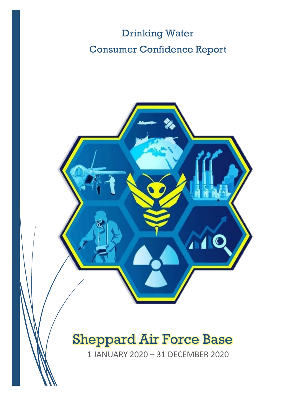# Drinking Water Consumer Confidence Report



# Sheppard Air Force Base

1 JANUARY 2020 – 31 DECEMBER 2020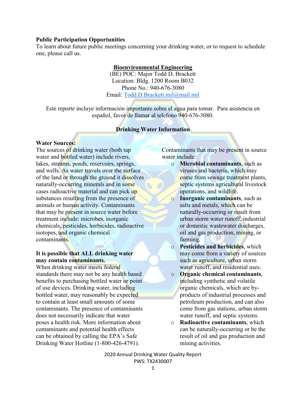### **Public Participation Opportunities**

To learn about future public meetings concerning your drinking water, or to request to schedule one, please call us.

## **Bioenvironmental Engineering**

(BE) POC: Major Todd D. Brackett Location: Bldg. 1200 Room B032 Phone No.: 940-676-3080 Email: [Todd.D.Brackett.mil@mail.mil](mailto:Todd.D.Brackett.mil@mail.mil)

Este reporte incluye información importante sobre el agua para tomar. Para asistencia en español, favor de llamar al telefono 940-676-3080.

## **Drinking Water Information**

### **Water Sources:**

The sources of drinking water (both tap water and bottled water) include rivers, lakes, streams, ponds, reservoirs, springs, and wells. As water travels over the surface of the land or through the ground it dissolves naturally-occurring minerals and in some cases radioactive material and can pick up substances resulting from the presence of animals or human activity. Contaminants that may be present in source water before treatment include: microbes, inorganic chemicals, pesticides, herbicides, radioactive isotopes, and organic chemical contaminants.

## **It is possible that ALL drinking water may contain contaminants.**

When drinking water meets federal standards there may not be any health based benefits to purchasing bottled water or point of use devices. Drinking water, including bottled water, may reasonably be expected to contain at least small amounts of some contaminants. The presence of contaminants does not necessarily indicate that water poses a health risk. More information about contaminants and potential health effects can be obtained by calling the EPA's Safe Drinking Water Hotline (1-800-426-4791).

Contaminants that may be present in source water include:

- o **Microbial contaminants**, such as viruses and bacteria, which may come from sewage treatment plants, septic systems agricultural livestock operations, and wildlife.
- o **Inorganic contaminants**, such as salts and metals, which can be naturally-occurring or result from urban storm water runoff, industrial or domestic wastewater discharges, oil and gas production, mining, or farming.
- o **Pesticides and herbicides**, which may come from a variety of sources such as agriculture, urban storm water runoff, and residential uses.
- o **Organic chemical contaminants**, including synthetic and volatile organic chemicals, which are byproducts of industrial processes and petroleum production, and can also come from gas stations, urban storm water runoff, and septic systems.
- o **Radioactive contaminants**, which can be naturally-occurring or be the result of oil and gas production and mining activities.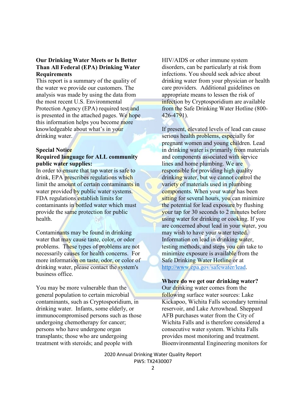## **Our Drinking Water Meets or Is Better Than All Federal (EPA) Drinking Water Requirements**

This report is a summary of the quality of the water we provide our customers. The analysis was made by using the data from the most recent U.S. Environmental Protection Agency (EPA) required test and is presented in the attached pages. We hope this information helps you become more knowledgeable about what's in your drinking water.

#### **Special Notice**

## **Required language for ALL community public water supplies:**

In order to ensure that tap water is safe to drink, EPA prescribes regulations which limit the amount of certain contaminants in water provided by public water systems. FDA regulations establish limits for contaminants in bottled water which must provide the same protection for public health.

Contaminants may be found in drinking water that may cause taste, color, or odor problems. These types of problems are not necessarily causes for health concerns. For more information on taste, odor, or color of drinking water, please contact the system's business office.

You may be more vulnerable than the general population to certain microbial contaminants, such as Cryptosporidium, in drinking water. Infants, some elderly, or immunocompromised persons such as those undergoing chemotherapy for cancer; persons who have undergone organ transplants; those who are undergoing treatment with steroids; and people with

HIV/AIDS or other immune system disorders, can be particularly at risk from infections. You should seek advice about drinking water from your physician or health care providers. Additional guidelines on appropriate means to lessen the risk of infection by Cryptosporidium are available from the Safe Drinking Water Hotline (800- 426-4791).

If present, elevated levels of lead can cause serious health problems, especially for pregnant women and young children. Lead in drinking water is primarily from materials and components associated with service lines and home plumbing. We are responsible for providing high quality drinking water, but we cannot control the variety of materials used in plumbing components. When your water has been sitting for several hours, you can minimize the potential for lead exposure by flushing your tap for 30 seconds to 2 minutes before using water for drinking or cooking. If you are concerned about lead in your water, you may wish to have your water tested. Information on lead in drinking water, testing methods, and steps you can take to minimize exposure is available from the Safe Drinking Water Hotline or at [http://www.epa.gov/safewater/lead.](http://www.epa.gov/safewater/lead)

#### **Where do we get our drinking water?**

Our drinking water comes from the following surface water sources: Lake Kickapoo, Wichita Falls secondary terminal reservoir, and Lake Arrowhead. Sheppard AFB purchases water from the City of Wichita Falls and is therefore considered a consecutive water system. Wichita Falls provides most monitoring and treatment. Bioenvironmental Engineering monitors for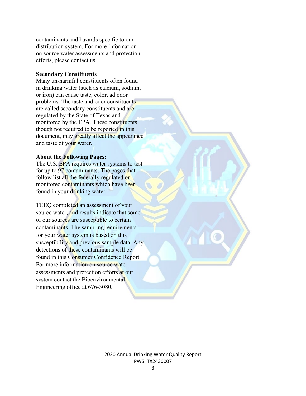contaminants and hazards specific to our distribution system. For more information on source water assessments and protection efforts, please contact us.

### **Secondary Constituents**

Many un-harmful constituents often found in drinking water (such as calcium, sodium, or iron) can cause taste, color, ad odor problems. The taste and odor constituents are called secondary constituents and are regulated by the State of Texas and monitored by the EPA. These constituents, though not required to be reported in this document, may greatly affect the appearance and taste of your water.

## **About the Following Pages:**

The U.S. EPA requires water systems to test for up to 97 contaminants. The pages that follow list all the federally regulated or monitored contaminants which have been found in your drinking water.

TCEQ completed an assessment of your source water, and results indicate that some of our sources are susceptible to certain contaminants. The sampling requirements for your water system is based on this susceptibility and previous sample data. Any detections of these contaminants will be found in this Consumer Confidence Report. For more information on source water assessments and protection efforts at our system contact the Bioenvironmental Engineering office at 676-3080.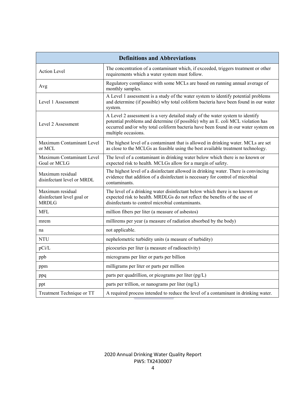| <b>Definitions and Abbreviations</b>                           |                                                                                                                                                                                                                                                                               |  |  |  |  |  |  |
|----------------------------------------------------------------|-------------------------------------------------------------------------------------------------------------------------------------------------------------------------------------------------------------------------------------------------------------------------------|--|--|--|--|--|--|
| <b>Action Level</b>                                            | The concentration of a contaminant which, if exceeded, triggers treatment or other<br>requirements which a water system must follow.                                                                                                                                          |  |  |  |  |  |  |
| Avg                                                            | Regulatory compliance with some MCLs are based on running annual average of<br>monthly samples.                                                                                                                                                                               |  |  |  |  |  |  |
| Level 1 Assessment                                             | A Level 1 assessment is a study of the water system to identify potential problems<br>and determine (if possible) why total coliform bacteria have been found in our water<br>system.                                                                                         |  |  |  |  |  |  |
| Level 2 Assessment                                             | A Level 2 assessment is a very detailed study of the water system to identify<br>potential problems and determine (if possible) why an E. coli MCL violation has<br>occurred and/or why total coliform bacteria have been found in our water system on<br>multiple occasions. |  |  |  |  |  |  |
| Maximum Contaminant Level<br>or MCL                            | The highest level of a contaminant that is allowed in drinking water. MCLs are set<br>as close to the MCLGs as feasible using the best available treatment technology.                                                                                                        |  |  |  |  |  |  |
| Maximum Contaminant Level<br>Goal or MCLG                      | The level of a contaminant in drinking water below which there is no known or<br>expected risk to health. MCLGs allow for a margin of safety.                                                                                                                                 |  |  |  |  |  |  |
| Maximum residual<br>disinfectant level or MRDL                 | The highest level of a disinfectant allowed in drinking water. There is convincing<br>evidence that addition of a disinfectant is necessary for control of microbial<br>contaminants.                                                                                         |  |  |  |  |  |  |
| Maximum residual<br>disinfectant level goal or<br><b>MRDLG</b> | The level of a drinking water disinfectant below which there is no known or<br>expected risk to health. MRDLGs do not reflect the benefits of the use of<br>disinfectants to control microbial contaminants.                                                                  |  |  |  |  |  |  |
| MFL                                                            | million fibers per liter (a measure of asbestos)                                                                                                                                                                                                                              |  |  |  |  |  |  |
| mrem                                                           | millirems per year (a measure of radiation absorbed by the body)                                                                                                                                                                                                              |  |  |  |  |  |  |
| na                                                             | not applicable.                                                                                                                                                                                                                                                               |  |  |  |  |  |  |
| <b>NTU</b>                                                     | nephelometric turbidity units (a measure of turbidity)                                                                                                                                                                                                                        |  |  |  |  |  |  |
| pCi/L                                                          | picocuries per liter (a measure of radioactivity)                                                                                                                                                                                                                             |  |  |  |  |  |  |
| ppb                                                            | micrograms per liter or parts per billion                                                                                                                                                                                                                                     |  |  |  |  |  |  |
| ppm                                                            | milligrams per liter or parts per million                                                                                                                                                                                                                                     |  |  |  |  |  |  |
| ppq                                                            | parts per quadrillion, or picograms per liter (pg/L)                                                                                                                                                                                                                          |  |  |  |  |  |  |
| ppt                                                            | parts per trillion, or nanograms per liter (ng/L)                                                                                                                                                                                                                             |  |  |  |  |  |  |
| Treatment Technique or TT                                      | A required process intended to reduce the level of a contaminant in drinking water.                                                                                                                                                                                           |  |  |  |  |  |  |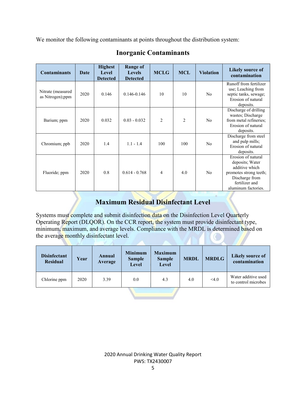We monitor the following contaminants at points throughout the distribution system:

| <b>Contaminants</b>                   | Date | <b>Highest</b><br>Level<br><b>Detected</b> | Range of<br><b>Levels</b><br><b>Detected</b> | <b>MCLG</b>    | <b>MCL</b>     | <b>Violation</b> | Likely source of<br>contamination                                                                                                            |
|---------------------------------------|------|--------------------------------------------|----------------------------------------------|----------------|----------------|------------------|----------------------------------------------------------------------------------------------------------------------------------------------|
| Nitrate (measured<br>as Nitrogen);ppm | 2020 | 0.146                                      | $0.146 - 0.146$                              | 10             | 10             | N <sub>o</sub>   | Runoff from fertilizer<br>use; Leaching from<br>septic tanks, sewage;<br>Erosion of natural<br>deposits.                                     |
| Barium; ppm                           | 2020 | 0.032                                      | $0.03 - 0.032$                               | $\overline{2}$ | $\overline{2}$ | N <sub>o</sub>   | Discharge of drilling<br>wastes; Discharge<br>from metal refineries;<br>Erosion of natural<br>deposits.                                      |
| Chromium; ppb                         | 2020 | 1.4                                        | $1.1 - 1.4$                                  | 100            | 100            | N <sub>0</sub>   | Discharge from steel<br>and pulp mills;<br>Erosion of natural<br>deposits.                                                                   |
| Fluoride; ppm                         | 2020 | 0.8                                        | $0.614 - 0.768$                              | 4              | 4.0            | N <sub>0</sub>   | Erosion of natural<br>deposits; Water<br>additive which<br>promotes strong teeth;<br>Discharge from<br>fertilizer and<br>aluminum factories. |

# **Inorganic Contaminants**

# **Maximum Residual Disinfectant Level**

Systems must complete and submit disinfection data on the Disinfection Level Quarterly Operating Report (DLQOR). On the CCR report, the system must provide disinfectant type, minimum, maximum, and average levels. Compliance with the MRDL is determined based on the average monthly disinfectant level.

| <b>Disinfectant</b><br>Residual | Year | Annual<br>Average | <b>Minimum</b><br><b>Sample</b><br><b>Level</b> | <b>Maximum</b><br><b>Sample</b><br>Level | <b>MRDL</b> | <b>MRDLG</b> | Likely source of<br>contamination          |  |  |
|---------------------------------|------|-------------------|-------------------------------------------------|------------------------------------------|-------------|--------------|--------------------------------------------|--|--|
| Chlorine ppm                    | 2020 | 3.39              | 0.0                                             | 4.3                                      | 4.0         | <4.0         | Water additive used<br>to control microbes |  |  |
|                                 |      |                   |                                                 |                                          |             |              |                                            |  |  |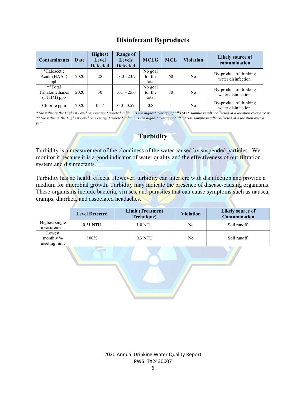## **Disinfectant Byproducts**

| <b>Contaminants</b>                      | Date | <b>Highest</b><br><b>Level</b><br><b>Detected</b> | Range of<br><b>Levels</b><br><b>Detected</b> | <b>MCLG</b>                 | <b>MCL</b> | <b>Violation</b> | <b>Likely source of</b><br>contamination      |
|------------------------------------------|------|---------------------------------------------------|----------------------------------------------|-----------------------------|------------|------------------|-----------------------------------------------|
| *Haloacetic<br>Acids (HAA5)<br>ppb       | 2020 | 28                                                | $13.0 - 23.9$                                | No goal<br>for the<br>total | 60         | No               | By-product of drinking<br>water disinfection. |
| **Total<br>Trihalomethanes<br>(TTHM) ppb | 2020 | 30                                                | $16.1 - 25.6$                                | No goal<br>for the<br>total | 80         | No               | By-product of drinking<br>water disinfection. |
| Chlorite ppm                             | 2020 | 0.57                                              | $0.0 - 0.57$                                 | 0.8                         |            | No               | By-product of drinking<br>water disinfection. |

*\*The value in the Highest Level or Average Detected column is the highest average of all HAA5 sample results collected at a location over a year \*\*The value in the Highest Level or Average Detected column is the highest average of all TTHM sample results collected at a location over a year*

# **Turbidity**

Turbidity is a measurement of the cloudiness of the water caused by suspended particles. We monitor it because it is a good indicator of water quality and the effectiveness of our filtration system and disinfectants.

Turbidity has no health effects. However, turbidity can interfere with disinfection and provide a medium for microbial growth. Turbidity may indicate the presence of disease-causing organisms. These organisms include bacteria, viruses, and parasites that can cause symptoms such as nausea, cramps, diarrhea, and associated headaches.

|                                         | <b>Level Detected</b> | <b>Limit (Treatment</b><br>Technique) | <b>Violation</b> | Likely source of<br>Contamination |  |  |
|-----------------------------------------|-----------------------|---------------------------------------|------------------|-----------------------------------|--|--|
| Highest single<br>measurement           | 0.31 NTU              | 1.0 NTU                               | No               | Soil runoff.                      |  |  |
| Lowest<br>monthly $\%$<br>meeting limit | 100%                  | 0.3 NTU                               | No               | Soil runoff.                      |  |  |

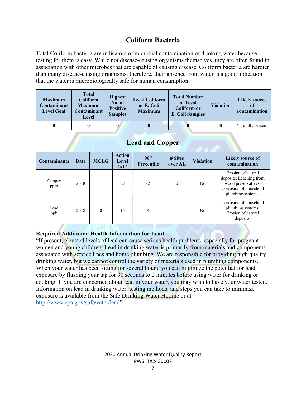## **Coliform Bacteria**

Total Coliform bacteria are indicators of microbial contamination of drinking water because testing for them is easy. While not disease-causing organisms themselves, they are often found in association with other microbes that are capable of causing disease. Coliform bacteria are hardier than many disease-causing organisms; therefore, their absence from water is a good indication that the water is microbiologically safe for human consumption.

| <b>Maximum</b><br>Contaminant<br><b>Level Goal</b> | <b>Total</b><br>Coliform<br><b>Maximum</b><br>Contaminant<br>Level | <b>Highest</b><br>No. of<br><b>Positive</b><br><b>Samples</b> | <b>Fecal Coliform</b><br>or E. Coli<br><b>Maximum</b> | <b>Total Number</b><br>of Fecal<br><b>Coliform or</b><br><b>E. Coli Samples</b> | <b>Violation</b> | Likely source<br>of<br>contamination |
|----------------------------------------------------|--------------------------------------------------------------------|---------------------------------------------------------------|-------------------------------------------------------|---------------------------------------------------------------------------------|------------------|--------------------------------------|
|                                                    |                                                                    |                                                               |                                                       |                                                                                 | 0                | Naturally present                    |

## **Lead and Copper**

| <b>Contaminants</b> | Date | <b>MCLG</b> | <b>Action</b><br>Level<br>(AL) | 90 <sup>th</sup><br>Percentile | # Sites<br>over AL | <b>Violation</b> | <b>Likely source of</b><br>contamination                                                                            |
|---------------------|------|-------------|--------------------------------|--------------------------------|--------------------|------------------|---------------------------------------------------------------------------------------------------------------------|
| Copper<br>ppm       | 2018 | 1.3         | 1.3                            | 0.21                           | $\theta$           | No               | Erosion of natural<br>deposits; Leaching from<br>wood preservatives;<br>Corrosion of household<br>plumbing systems. |
| Lead<br>ppb         | 2018 | $\theta$    | 15                             | $\overline{4}$                 |                    | N <sub>o</sub>   | Corrosion of household<br>plumbing systems;<br>Erosion of natural<br>deposits.                                      |

## **Required Additional Health Information for Lead**

"If present, elevated levels of lead can cause serious health problems, especially for pregnant women and young children. Lead in drinking water is primarily from materials and components associated with service lines and home plumbing. We are responsible for providing high quality drinking water, but we cannot control the variety of materials used in plumbing components. When your water has been sitting for several hours, you can minimize the potential for lead exposure by flushing your tap for  $30$  seconds to 2 minutes before using water for drinking or cooking. If you are concerned about lead in your water, you may wish to have your water tested. Information on lead in drinking water, testing methods, and steps you can take to minimize exposure is available from the Safe Drinking Water Hotline or at [http://www.epa.gov/safewater/lead"](http://www.epa.gov/safewater/lead).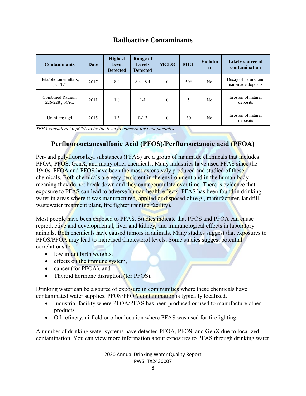## **Radioactive Contaminants**

| <b>Contaminants</b>                  | Date |     | <b>Range of</b><br><b>Levels</b><br><b>Detected</b> | <b>MCLG</b>  | <b>MCL</b> | <b>Violatio</b><br>$\mathbf n$ | <b>Likely source of</b><br>contamination   |
|--------------------------------------|------|-----|-----------------------------------------------------|--------------|------------|--------------------------------|--------------------------------------------|
| Beta/photon emitters;<br>$pCi/L^*$   | 2017 | 8.4 | $8.4 - 8.4$                                         | $\mathbf{0}$ | $50*$      | No                             | Decay of natural and<br>man-made deposits. |
| Combined Radium<br>$226/228$ ; pCi/L | 2011 | 1.0 | 1-1                                                 | $\theta$     | 5          | No                             | Erosion of natural<br>deposits             |
| Uranium; ug/l                        | 2015 | 1.3 | $0-1.3$                                             | $\theta$     | 30         | No                             | Erosion of natural<br>deposits             |

*\*EPA considers 50 pCi/L to be the level of concern for beta particles.*

# **Perfluorooctanesulfonic Acid (PFOS)/Perflurooctanoic acid (PFOA)**

Per- and polyfluoroalkyl substances (PFAS) are a group of manmade chemicals that includes PFOA, PFOS, GenX, and many other chemicals. Many industries have used PFAS since the 1940s. PFOA and PFOS have been the most extensively produced and studied of these chemicals. Both chemicals are very persistent in the environment and in the human body – meaning they do not break down and they can accumulate over time. There is evidence that exposure to PFAS can lead to adverse human health effects. PFAS has been found in drinking water in areas where it was manufactured, applied or disposed of (e.g., manufacturer, landfill, wastewater treatment plant, fire fighter training facility).

Most people have been exposed to PFAS. Studies indicate that PFOS and PFOA can cause reproductive and developmental, liver and kidney, and immunological effects in laboratory animals. Both chemicals have caused tumors in animals. Many studies suggest that exposures to PFOS/PFOA may lead to increased Cholesterol levels. Some studies suggest potential correlations to:

- low infant birth weights,
- effects on the immune system,
- cancer (for PFOA), and
- Thyroid hormone disruption (for PFOS).

Drinking water can be a source of exposure in communities where these chemicals have contaminated water supplies. PFOS/PFOA contamination is typically localized.

- Industrial facility where PFOA/PFAS has been produced or used to manufacture other products.
- Oil refinery, airfield or other location where PFAS was used for firefighting.

A number of drinking water systems have detected PFOA, PFOS, and GenX due to localized contamination. You can view more information about exposures to PFAS through drinking water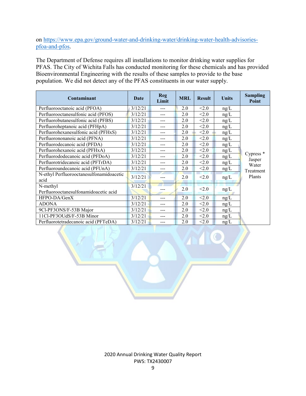on [https://www.epa.gov/ground-water-and-drinking-water/drinking-water-health-advisories](https://www.epa.gov/ground-water-and-drinking-water/drinking-water-health-advisories-pfoa-and-pfos)[pfoa-and-pfos.](https://www.epa.gov/ground-water-and-drinking-water/drinking-water-health-advisories-pfoa-and-pfos)

The Department of Defense requires all installations to monitor drinking water supplies for PFAS. The City of Wichita Falls has conducted monitoring for these chemicals and has provided Bioenvironmental Engineering with the results of these samples to provide to the base population. We did not detect any of the PFAS constituents in our water supply.

| Contaminant                                       | Date    | <b>Reg</b><br>Limit | <b>MRL</b> | <b>Result</b> | <b>Units</b> | <b>Sampling</b><br>Point |
|---------------------------------------------------|---------|---------------------|------------|---------------|--------------|--------------------------|
| Perfluorooctanoic acid (PFOA)                     | 3/12/21 | $---$               | 2.0        | < 2.0         | ng/L         |                          |
| Perfluorooctanesulfonic acid (PFOS)               | 3/12/21 | ---                 | 2.0        | < 2.0         | ng/L         |                          |
| Perfluorobutanesulfonic acid (PFBS)               | 3/12/21 | ---                 | 2.0        | < 2.0         | ng/L         |                          |
| Perfluoroheptanoic acid (PFHpA)                   | 3/12/21 | ---                 | 2.0        | < 2.0         | ng/L         |                          |
| Perfluorohexanesulfonic acid (PFHxS)              | 3/12/21 | ---                 | 2.0        | < 2.0         | ng/L         |                          |
| Perfluorononanoic acid (PFNA)                     | 3/12/21 | ---                 | 2.0        | < 2.0         | ng/L         |                          |
| Perfluorodecanoic acid (PFDA)                     | 3/12/21 | ---                 | 2.0        | < 2.0         | ng/L         |                          |
| Perfluorohexanoic acid (PFHxA)                    | 3/12/21 |                     | 2.0        | < 2.0         | ng/L         |                          |
| Perfluorododecanoic acid (PFDoA)                  | 3/12/21 | ---                 | 2.0        | < 2.0         | ng/L         | Cypress $*$              |
| Perfluorotridecanoic acid (PFTrDA)                | 3/12/21 | ---                 | 2.0        | < 2.0         | ng/L         | Jasper<br>Water          |
| Perfluoroundecanoic acid (PFUnA)                  | 3/12/21 | ---                 | 2.0        | < 2.0         | ng/L         | Treatment                |
| N-ethyl Perfluorooctanesulfonamidoacetic          | 3/12/21 | ---                 | 2.0        | < 2.0         | ng/L         | Plants                   |
| acid                                              |         |                     |            |               |              |                          |
| N-methyl<br>Perfluorooctanesulfonamidoacetic acid | 3/12/21 |                     | 2.0        | < 2.0         | $\rm ng/L$   |                          |
| HFPO-DA/GenX                                      | 3/12/21 | ---                 | 2.0        | < 2.0         | ng/L         |                          |
| <b>ADONA</b>                                      | 3/12/21 | ---                 | 2.0        | < 2.0         | ng/L         |                          |
| 9Cl-PF3ONS/F-53B Major                            | 3/12/21 | ---                 | 2.0        | < 2.0         | ng/L         |                          |
| 11Cl-PF3OUdS/F-53B Minor                          | 3/12/21 |                     | 2.0        | < 2.0         | ng/L         |                          |
| Perfluorotetradecanoic acid (PFTeDA)              | 3/12/21 | ---                 | 2.0        | < 2.0         | ng/L         |                          |